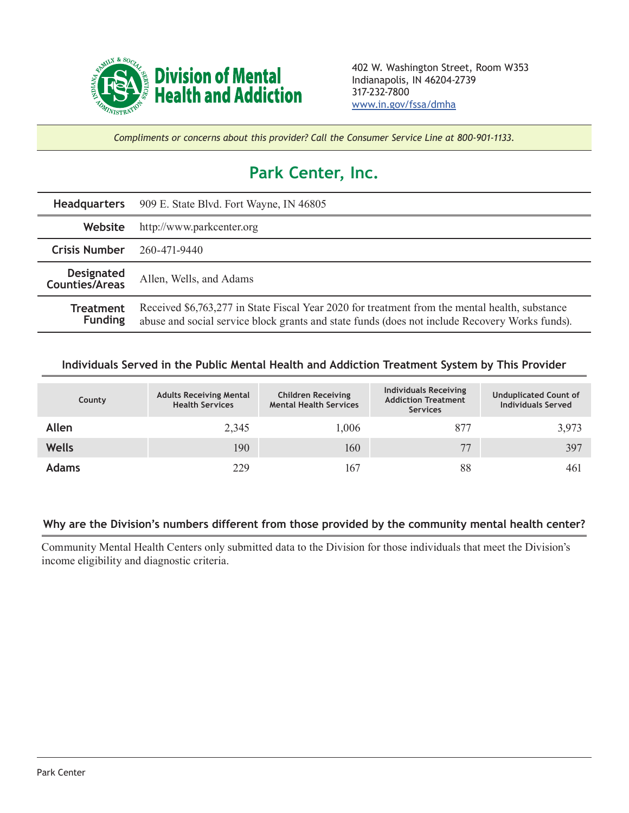

*Compliments or concerns about this provider? Call the Consumer Service Line at 800-901-1133.*

## **Park Center, Inc.**

| <b>Headquarters</b>                        | 909 E. State Blvd. Fort Wayne, IN 46805                                                                                                                                                          |  |  |  |
|--------------------------------------------|--------------------------------------------------------------------------------------------------------------------------------------------------------------------------------------------------|--|--|--|
| Website                                    | http://www.parkcenter.org                                                                                                                                                                        |  |  |  |
| <b>Crisis Number</b>                       | 260-471-9440                                                                                                                                                                                     |  |  |  |
| <b>Designated</b><br><b>Counties/Areas</b> | Allen, Wells, and Adams                                                                                                                                                                          |  |  |  |
| <b>Treatment</b><br><b>Funding</b>         | Received \$6,763,277 in State Fiscal Year 2020 for treatment from the mental health, substance<br>abuse and social service block grants and state funds (does not include Recovery Works funds). |  |  |  |

## **Individuals Served in the Public Mental Health and Addiction Treatment System by This Provider**

| County       | <b>Adults Receiving Mental</b><br><b>Health Services</b> | <b>Children Receiving</b><br><b>Mental Health Services</b> | <b>Individuals Receiving</b><br><b>Addiction Treatment</b><br><b>Services</b> | <b>Unduplicated Count of</b><br><b>Individuals Served</b> |
|--------------|----------------------------------------------------------|------------------------------------------------------------|-------------------------------------------------------------------------------|-----------------------------------------------------------|
| Allen        | 2,345                                                    | 1,006                                                      | 877                                                                           | 3,973                                                     |
| <b>Wells</b> | 190                                                      | 160                                                        | 77                                                                            | 397                                                       |
| <b>Adams</b> | 229                                                      | 167                                                        | 88                                                                            | 461                                                       |

## **Why are the Division's numbers different from those provided by the community mental health center?**

Community Mental Health Centers only submitted data to the Division for those individuals that meet the Division's income eligibility and diagnostic criteria.